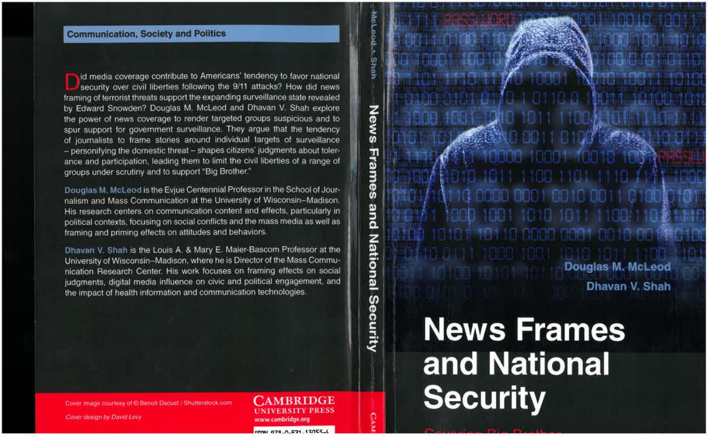# **Communication, Society and Politics**

id media coverage contribute to Americans' tendency to favor national security over civil liberties following the 9/11 attacks? How did news framing of terrorist threats support the expanding surveillance state revealed by Edward Snowden? Douglas M. McLeod and Dhavan V. Shah explore the power of news coverage to render targeted groups suspicious and to spur support for government surveillance. They argue that the tendency of journalists to frame stories around individual targets of surveillance - personifying the domestic threat - shapes citizens' judgments about tolerance and participation, leading them to limit the civil liberties of a range of groups under scrutiny and to support "Big Brother."

Douglas M. McLeod is the Eviue Centennial Professor in the School of Journalism and Mass Communication at the University of Wisconsin-Madison. His research centers on communication content and effects, particularly in political contexts, focusing on social conflicts and the mass media as well as framing and priming effects on attitudes and behaviors.

Dhavan V. Shah is the Louis A. & Mary E. Maier-Bascom Professor at the University of Wisconsin-Madison, where he is Director of the Mass Communication Research Center. His work focuses on framing effects on social judgments, digital media influence on civic and political engagement, and the impact of health information and communication technologies.

> **News Frames** and National **Security**

Cover image courtesy of @ Benoit Daoust / Shutterstock.com

Cover design by David Levy

TODAI 079 0 521-13055-4

www.cambridge.org

**CAMBRIDGE** 

**Ghain** 

**News** 

**Frames and** 

**National Security** 

Douglas M. McLeod Dhavan V. Shah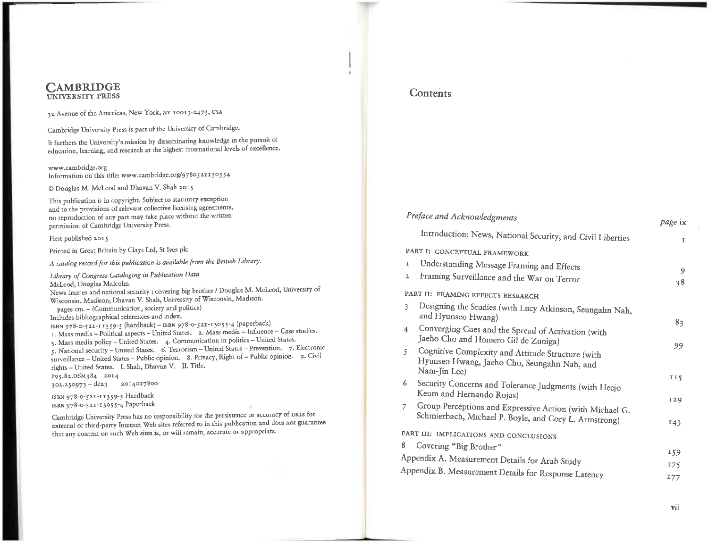### **CAMBRIDGE**  UNIVERSITY PRESS

| 32 Avenue of the Americas, New York, NY 10013-2473, USA. |  |  |  |  |  |
|----------------------------------------------------------|--|--|--|--|--|
|----------------------------------------------------------|--|--|--|--|--|

Cambridge University Press is part of the University of Cambridge.

It furthers the University's mission by disseminating knowledge in the pursuit of education, learning, and research at the highest international levels of excellence.

www .cambridge.org Information on this title: www.cambridge.org/9780521130554

© Douglas M. McLeod and Dhavan V. Shah :z.01 *<sup>5</sup>*

This publication is in copyright. Subject to statutory exception and to the provisions of relevant collective licensing agreements, no reproduction of any part may take place without the written permission of Cambridge University Press.

First published 2015

Printed in Great Britain by Clays Ltd, St Ives pie

*A catalog record for this publication is available from the British Library.* 

*Library of Congress Cataloging in Publication Data*  McLeod, Douglas Malcolm. News frames and national security : covering big brother *I* Douglas M. McLeod, University of Wisconsin, Madison; Dhavan V. Shah, University of Wisconsin, Madison. pages cm. - (Communication, society and politics) Includes bibliographical references and index. ISBN 978-0-521-II 3 *59-5* (hardback} - ISBN 978-0-521-1305 5-4 (paperback) 1. Mass media - Political aspects - United States. 2. Mass media - Influence - Case studies. 3. Mass media policy - United States. 4. Communication in politics - United States. *5.* National security- United States. 6. Terrorism - United States - Prevention. 7. Electronic; surveillance - United States - Public opinion. 8. Privacy, Right of - Public opinion. 9. Civil rights - United States. I. Shah, Dhavan V. II. Title. P95.82.U6M384 2014 302.230973 - dc23 : 2014017800

ISBN 978-o-52I-II359-5 Hardback  $ISBN 978-0-521-13055-4$  Paperback

Cambridge University Press has no responsibility for the persistence or accuracy of URLS for external or third-party Internet Web sites referred to in this publication and does not guarantee that any content on such Web sites is, or will remain, accurate or appropriate.

# **Contents**

|                                                | Preface and Acknowledgments                                                                                      | page ix     |
|------------------------------------------------|------------------------------------------------------------------------------------------------------------------|-------------|
|                                                | Introduction: News, National Security, and Civil Liberties                                                       | $\mathbb T$ |
|                                                | PART I: CONCEPTUAL FRAMEWORK                                                                                     |             |
| τ                                              | Understanding Message Framing and Effects                                                                        |             |
| $\mathbf{2}$                                   | Framing Surveillance and the War on Terror                                                                       | 9<br>38     |
|                                                | PART II: FRAMING EFFECTS RESEARCH                                                                                |             |
| $\mathbf{3}$                                   | Designing the Studies (with Lucy Atkinson, Seungahn Nah,                                                         |             |
|                                                | and Hyunseo Hwang)                                                                                               | 83          |
| $\overline{4}$                                 | Converging Cues and the Spread of Activation (with<br>Jaeho Cho and Homero Gil de Zuniga)                        |             |
| $\tilde{\mathbf{y}}$                           | Cognitive Complexity and Attitude Structure (with<br>Hyunseo Hwang, Jaeho Cho, Seungahn Nah, and<br>Nam-Jin Lee) | 99          |
| 6                                              | Security Concerns and Tolerance Judgments (with Heejo<br>Keum and Hernando Rojas)                                | II5         |
| 7                                              | Group Perceptions and Expressive Action (with Michael G.                                                         | <b>129</b>  |
|                                                | Schmierbach, Michael P. Boyle, and Cory L. Armstrong)                                                            | 143         |
|                                                | PART III: IMPLICATIONS AND CONCLUSIONS                                                                           |             |
| 8                                              | Covering "Big Brother"                                                                                           | 159         |
| Appendix A. Measurement Details for Arab Study |                                                                                                                  |             |
|                                                | Appendix B. Measurement Details for Response Latency                                                             | I77         |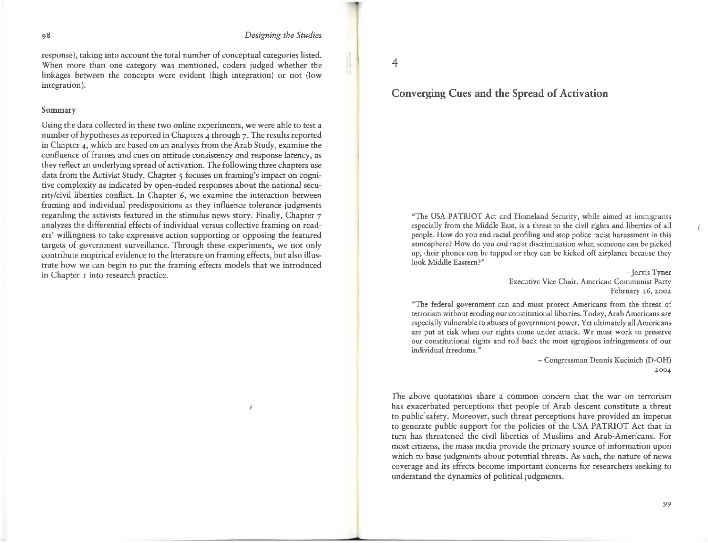response), taking into account the total number of conceptual categories listed. When more than one category was mentioned, coders judged whether the linkages between the concepts were evident (high integration) or not (low integration).

#### Summary

Using the data collected in these two online experiments, we were able to test a number of hypotheses as reported in Chapters 4 through 7. The results reported in Chapter 4, which are based on an analysis from the Arab Study, examine the confluence of frames and cues on attitude consistency and response latency, as they reflect an underlying spread of activation. The following three chapters use data from the Activist Study. Chapter *5* focuses on framing's impact on cognitive complexity as indicated by open-ended responses about the national security/civil liberties conflict. In Chapter 6, we examine the interaction between framing and individual predispositions as they influence tolerance judgments regarding the activists featured in the stimulus news story. Finally, Chapter 7 analyzes the differential effects of individual versus collective framing on readers' willingness to take expressive action supporting or opposing the featured targets of government surveillance. Through these experiments, we not only contribute empirical evidence to the literature on framing effects, but also illustrate how we can begin to put the framing effects models that we introduced in Chapter r into research practice.

## **Converging Cues and the Spread of Activation**

"The USA,PATRIOT Act and Homeland Security, while aimed at immigrants especially from the Middle East, is a threat to the civil rights and liberties of all people. How do you end racial profiling and stop police racist harassment in this atmosphere? How do you end racist discrimination when someone can be picked up, their phones can be tapped or they can be kicked off airplanes because they look Middle Eastern?"

> - Jarvis Tyner Executive Vice Chair, American Communist Party February 16, 2002

"The federal government can and must protect Americans from the threat of terrorism without eroding our constitutional liberties. Today, Arab Americans are especially vulnerable to abuses of government power. Yet ultimately all Americans are put at risk when our rights come under attack. We must work to preserve our constitutional rights and roll back the most egregious infringements of our individual freedoms."

> - Congressman Dennis Kucinich (D-OH) 2004

The above quotations share a common concern that the war on terrorism has exacerbated perceptions that people of Arab descent constitute a threat to public safety. Moreover, such threat perceptions have provided an impetus to generate public support for the policies of the USA PATRIOT Act that in turn has threatened the civil liberties of Muslims and Arab-Americans. For most citizens, the mass media provide the primary source of information upon which to base judgments about potential threats. As such, the nature of news coverage and its effects become important concerns for researchers seeking to understand the dynamics of political judgments.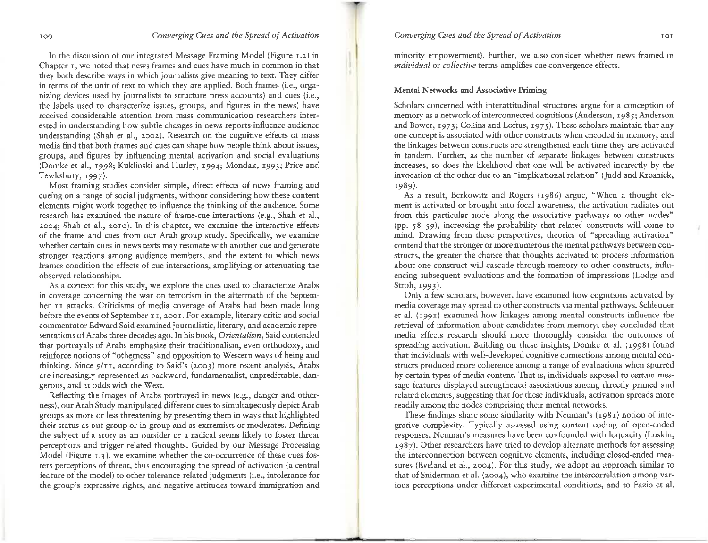*Converging Cues and the Spread of Activation* **IOI** 

In the discussion of our integrated Message Framing Model (Figure  $r_1$ , 2) in Chapter 1, we noted that news frames and cues have much in common in that they both describe ways in which journalists give meaning to text. They differ in terms of the unit of text to which they are applied. Both frames (i.e., organizing devices used by journalists to structure press accounts) and cues (i.e., the labels used to characterize issues, groups, and figures in the news) have received considerable attention from mass communication researchers interested in understanding how subtle changes in news reports· influence audience understanding (Shah et al., 2002). Research on the cognitive effects of mass media find that both frames and cues can shape how people think about issues, groups, and figures by influencing mental activation and social evaluations (Domke et al., 1998; Kuklinski and Hurley, 1994; Mondak, 1993; Price and Tewksbury, I997).

Most framing studies consider simple, direct effects of news framing and cueing on a range of social judgments, without considering how these content elements might work together to influence the thinking of the audience. Some research has examined the nature of frame-cue interactions (e.g., Shah et al., 2004; Shah et al., 20Io). In this chapter, we examine the interactive effects of the frame and cues from our Arab group study. Specifically, we examine whether certain cues in news texts may resonate with another cue and generate stronger reactions among audience members, and the extent to which news frames condition the effects of cue interactions, amplifying or attenuating the observed relationships.

As a context for this study, we explore the cues used to characterize Arabs in coverage concerning the war on terrorism in the aftermath of the September II attacks. Criticisms of media coverage of Arabs had been made long before the events of September 11, 2001. For example, literary critic and social commentator Edward Said examined journalistic, literary, and academic representations of Arabs three decades ago. In his book, *Orientalism*, Said contended that portrayals of Arabs emphasize their traditionalism, even orthodoxy, and reinforce notions of "otherness" and opposition to Western ways of being and thinking. Since  $9/11$ , according to Said's (2003) more recent analysis, Arabs are increasingly represented as backward, fundamentalist, unpredictable, dangerous, and at odds with the West.

Reflecting the images of Arabs portrayed in news (e.g., danger and otherness), our Arab Study manipulated different cues to simultaaeously depict Arab groups as more or less threatening by presenting them in ways that highlighted their status as out-group or in-group and as extremists or moderates. Defining the subject of a story as an outsider or a radical seems likely to foster threat perceptions and trigger related thoughts. Guided by our Message Processing Model (Figure  $I, 3$ ), we examine whether the co-occurrence of these cues fosters perceptions of threat, thus encouraging the spread of activation (a central feature of the model) to other tolerance-related judgments (i.e., intolerance for the group's expressive rights, and negative attitudes toward immigration and

minority empowerment). Further, we also consider whether news framed in *individual* or *collective* terms amplifies cue convergence effects.

### Mental Networks and Associative Priming

Scholars concerned with interattitudinal structures argue for a conception of memory as a network of interconnected cognitions (Anderson, r985; Anderson and Bower, 1973; Collins and Loftus, 1975). These scholars maintain that any one concept is associated with other constructs when encoded in memory, and the linkages between constructs are strengthened each time they are activated in tandem. Further, as the number of separate linkages between constructs increases, so does the likelihood that one will be activated indirectly by the invocation of the other due to an "implicational relation" (Judd and Krosnick, 1989).

As a result, Berkowitz and Rogers (I986) argue, "When a thought element is activated or brought into focal awareness, the activation radiates out from this particular node along the associative pathways to other nodes" (pp. 58-59), increasing the probability that related constructs will come to mind. Drawing from these perspectives, theories of "spreading activation" contend that the stronger or more numerous the mental pathways between constructs, the greater the chance that thoughts activated to process information about one construct will cascade through memory to other constructs, influencing subsequent evaluations and the formation of impressions (Lodge and Stroh, 1993).

Only a few scholars, however, have examined how cognitions activated by media coverage may spread to other constructs via mental pathways. Schleuder et al. (1991) examined how linkages among mental constructs influence the retrieval of information about candidates from memory; they concluded that media effects research should more thoroughly consider the outcomes of spreading activation. Building on these insights, Domke et al. (1998) found that individuals with well-developed cognitive connections among mental constructs produced more coherence among a range of evaluations when spurred by certain types of media content. That is, individuals exposed to certain message features displayed strengthened associations among directly primed and related elements, suggesting that for these individuals, activation spreads more readily among the nodes comprising their mental networks.

These findings share some similarity with Neuman's  $(1981)$  notion of integrative complexity. Typically assessed using content coding of open-ended responses, Neuman's measures have been confounded with loquacity (Luskin, 1987). Other researchers have tried to develop alternate methods for assessing the interconnection between cognitive elements, including closed-ended measures (Eveland et al., 2004). For this study, we adopt an approach similar to that of Sniderman et al. (2004), who examine the intercorrelation among various perceptions under different experimental conditions, and to Fazio et al.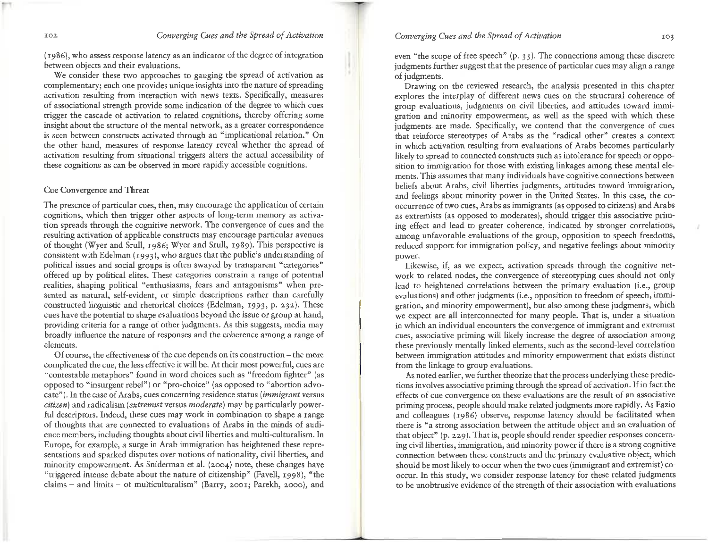(1986), who assess response latency as an indicator of the degree of integration between objects and their evaluations.

We consider these two approaches to gauging the spread of activation as complementary; each one provides unique insights into the nature of spreading activation resulting from interaction with news texts. Specifically, measures of associational strength provide some indication of the degree to which cues trigger the cascade of activation to related cognitions, thereby offering some insight about the structure of the mental network, as a greater correspondence is seen between constructs activated through an "implicational relation." On the other hand, measures of response latency reveal whether the spread of activation resulting from situational triggers alters the actual accessibility of these cognitions as can be observed in more rapidly accessible cognitions.

### Cue Convergence and Threat

The presence of particular cues, then, may encourage the application of certain cognitions, which then trigger other aspects of long-term memory as activation spreads through the cognitive network. The convergence of cues and the resulting activation of applicable constructs may encourage particular avenues of thought (Wyer and Srull, 1986; Wyer and Srull, 1989). This perspective is consistent with Edelman  $(1993)$ , who argues that the public's understanding of political issues and social groups is often swayed by transparent "categories" offered up by political elites. These categories constrain a range of potential realities, shaping political "enthusiasms, fears and antagonisms" when presented as natural, self-evident, or simple descriptions rather than carefully constructed linguistic and rhetorical choices (Edelman, 1993, p. 232). These cues have the potential to shape evaluations beyond the issue or group at hand, providing criteria for a range of other judgments. As this suggests, media may broadly influence the nature of responses and the coherence among a range of elements.

Of course, the effectiveness of the cue depends on its construction - the more complicated the cue, the less effective it will be. At their most powerful, cues are "contestable metaphors" found in word choices such as "freedom fighter" (as opposed to "insurgent rebel") or "pro-choice" (as opposed to "abortion advocate"). In the case of Arabs, cues concerning residence status *(immigrant* versus *citizen)* and radicalism *(extremist* versus *moderate)* may be particularly powerful descriptors. Indeed, these cues may work in combination to shape a range of thoughts that are connected to evaluations of Arabs in the minds of audience members, including thoughts about civil liberties and multi-culturalism. In Europe, for example, a surge in Arab immigration has heightened these representations and sparked disputes over notions of nationality, civil liberties, and minority empowerment. As Sniderman et al. (2004) note, these changes have "triggered intense debate about the nature of citizenship" (Favell, 1998), "the claims - and limits - of multiculturalism" (Barry, 2001; Parekh, 2000), and even "the scope of free speech"  $(p, 35)$ . The connections among these discrete judgments further suggest that the presence of particular cues may align a range of judgments.

Drawing on the reviewed research, the analysis presented in this chapter explores the interplay of different news cues on the structural coherence of group evaluations, judgments on civil liberties, and attitudes toward immigration and minority empowerment, as well as the speed with which these judgments are made. Specifically, we contend that the convergence of cues that reinforce stereotypes of Arabs as the "radical other" creates a context in which activation resulting from evaluations of Arabs becomes particularly likely to spread to connected constructs such as intolerance for speech or opposition to immigration for those with existing linkages among these mental elements. This assumes that many individuals have cognitive connections between beliefs about Arabs, civil liberties judgments, attitudes toward immigration, and feelings about minority power in the United States. In this case, the cooccurrence of two cues, Arabs as immigrants (as opposed to citizens) and Arabs as extremists (as opposed to moderates), should trigger this associative priming effect and lead to greater coherence, indicated by stronger correlations, among unfavorable evaluations of the group, opposition to speech freedoms, reduced support for immigration policy, and negative feelings about minority power.

Likewise, if, as we expect, activation spreads through the cognitive network to related nodes, the convergence of stereotyping cues should not only lead to heightened correlations between the primary evaluation (i.e., group evaluations) and other judgments (i.e., opposition to freedom of speech, immigration, and minority empowerment), but also among these judgments, which we expect are all interconnected for many people. That is, under a situation in which an individual encounters the convergence of immigrant and extremist cues, associative priming will likely increase the degree of association among these previously mentally linked elements, such as the second-level correlation between immigration attitudes and minority empowerment that exists distinct from the linkage to group evaluations.

As noted earlier, we further theorize that the process underlying these predictions involves associative priming through the spread of activation. If in fact the effects of cue convergence on these evaluations are the result of an associative priming process, people should make related judgments more rapidly. As Fazio and colleagues (1986) observe, response latency should be facilitated when there is "a strong association between the attitude object and an evaluation of that object" (p. 229). That is, people should render speedier responses concerning civil liberties, immigration, and minority power if there is a strong cognitive connection between these constructs and the primary evaluative object, which should be most likely to occur when the two cues (immigrant and extremist) cooccur. In this study, we consider response latency for these related judgments to be unobtrusive evidence of the strength of their association with evaluations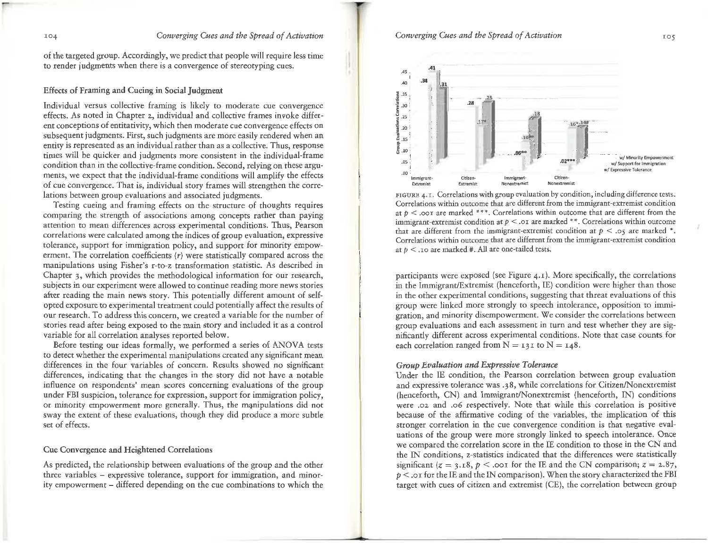of the targeted group. Accordingly, we predict that people will require less time to render judgments when there is a convergence of stereotyping cues.

### Effects of Framing and Cueing in Social Judgment

Individual versus collective framing is likely to moderate cue convergence effects. As noted in Chapter 2, individual and collective frames invoke different conceptions of entitativity, which then moderate cue convergence effects on subsequent judgments. First, such judgments are more easily rendered when an entity is represented as an individual rather than as a collective. Thus, response times will be quicker and judgments more consistent in the individual-frame condition than in the collective-frame condition. Second, relying on these arguments, we expect that the individual-frame conditions will amplify the effects of cue convergence. That is, individual story frames will strengthen the correlations between group evaluations and associated judgments.

Testing cueing and framing effects on the structure of thoughts requires comparing the strength of associations among concepts rather than paying attention to mean differences across experimental conditions. Thus, Pearson correlations were calculated among the indices of group evaluation, expressive tolerance, support for immigration policy, and support for minority empowerment. The correlation coefficients  $(r)$  were statistically compared across the manipulations using Fisher's r-to-z transformation statistic. As described in Chapter 3, which provides the methodological information for our research, subjects in our experiment were allowed to continue reading more news stories after reading the main news story. This potentially different amount of selfopted exposure to experimental treatment could potentially affect the results of our research. To address this concern, we created a variable for the number of stories read after being exposed to the main story and included it as a control variable for all correlation analyses reported below.

Before testing our ideas formally, we performed a series of ANOVA tests to detect whether the experimental manipulations created any significant mean differences in the four variables of concern. Results showed no significant differences, indicating that the changes in the story did not have a notable influence on respondents' mean scores concerning evaluations of the group under FBI suspicion, tolerance for expression, support for immigration policy, or minority empowerment more generally. Thus, the manipulations did not sway the extent of these evaluations, though they did produce a more subtle set of effects.

### Cue Convergence and Heightened Correlations

As predicted, the relationship between evaluations of the group and the other three variables - expressive tolerance, support for immigration, and minority empowerment - differed depending on the cue combinations to which the FIGURE 4. r. Correlations with group evaluation by condition, including difference tests. **lmmigrant-l'lonextremlst**  Citizen-**Nanex:tremist Citizen-Extremist lmrnigrant-Extremist w/ Minority Empowerment w/ Support for Immigration w/ Expressive Tolerance**   $\begin{bmatrix} 17^* & 8 \\ 8 & 11 \end{bmatrix}$ .10~  $m \rightarrow \infty$ ,• - .1)6\*~ .•.. · . -  $-125$  $28$ **Freiation**<br>
.30<br>
. ~ .25  $\frac{6}{9}$  .20  $\frac{1}{3}$  $\frac{1}{2}$ .15 a.  $^{\circ}$  10 • OS : I .oo  $.40 \, 38$  $.16-.141$  $\cdot$ ,  $.02**$ 

Correlations within outcome that are different from the immigrant-extremist condition at  $p <$  oor are marked \*\*\*. Correlations within outcome that are different from the immigrant-extremist condition at  $p <$  or are marked \*\*. Correlations within outcome that are different from the immigrant-extremist condition at  $p < 0.05$  are marked  $*$ . Correlations within outcome that are different from the immigrant-extremist condition at  $p <$ , 10 are marked #. All are one-tailed tests.

participants were exposed (see Figure 4.1). More specifically, the correlations in the Immigrant/Extremist (henceforth, IE) condition were higher than those in the other experimental conditions, suggesting that threat evaluations of this group were linked more strongly to speech intolerance, opposition to immigration, and minority disempowerment. We consider the correlations between group evaluations and each assessment in turn and test whether they are significantly different across experimental conditions. Note that case counts for each correlation ranged from  $N = 131$  to  $N = 148$ .

### *Group Evaluation and Expressive Tolerance*

.45. I  $.41$ 

Under the IE condition, the Pearson correlation between group evaluation and expressive tolerance was .38, while correlations for Citizen/Nonextremist (henceforth, CN) and Immigrant/Nonextremist (henceforth, IN) conditions were .02 and .06 respectively. Note that while this correlation is positive because of the affirmative coding of the variables, the implication of this stronger correlation in the cue convergence condition is that negative evaluations of the group were more strongly linked to speech intolerance. Once we compared the correlation score in the IE condition to those in the CN and the IN conditions, z-statistics indicated that the differences were statistically significant ( $z = 3.18$ ,  $p <$  .001 for the IE and the CN comparison;  $z = 2.87$ ,  $p <$  .01 for the IE and the IN comparison). When the story characterized the FBI target with cues of citizen and extremist (CE), the correlation between group

*Converging Cues and the Spread of Activation*  $\frac{1}{105}$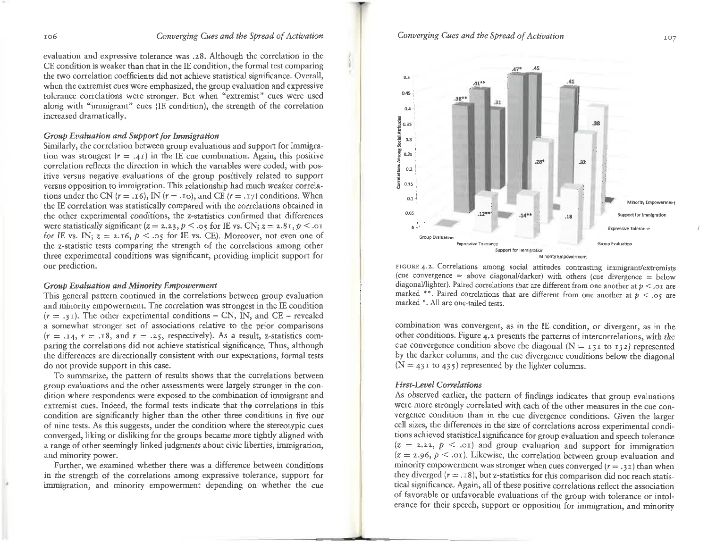evaluation and expressive tolerance was .28. Although the correlation in the CE condition is weaker than that in the IE condition, the formal test comparing the two correlation coefficients did not achieve statistical significance. Overall, when the extremist cues were emphasized, the group evaluation and expressive tolerance correlations were stronger. But when "extremist" cues were used along with "immigrant" cues (IE condition), the strength of the correlation increased dramatically.

### *Group Evaluation and Support for Immigration*

Similarly, the correlation between group evaluations and support for immigration was strongest  $(r = .41)$  in the IE cue combination. Again, this positive correlation reflects the direction in which the variables were coded, with positive versus negative evaluations of the group positively related to support versus opposition to immigration. This relationship had much weaker correlations under the CN  $(r = .16)$ , IN  $(r = .10)$ , and CE  $(r = .17)$  conditions. When the IE correlation was statistically compared with the correlations obtained in the other experimental conditions, the z-statistics confirmed that differences were statistically significant ( $z = 2.23$ ,  $p < .05$  for IE vs. CN;  $z = 2.8$ I,  $p < .01$ for IE vs. IN;  $z = 2.16$ ,  $p < .05$  for IE vs. CE). Moreover, not even one of the z-statistic tests comparing the strength of the correlations among other three experimental conditions was significant, providing implicit support for our prediction.

#### *Group Evaluation and Minority Empowerment*

This general pattern continued in the correlations between group evaluation and minority empowerment. The correlation was strongest in the IE condition  $(r = .31)$ . The other experimental conditions – CN, IN, and CE – revealed a somewhat stronger set of associations relative to the prior comparisons  $(r = 0.14, r = 0.18,$  and  $r = 0.25$ , respectively). As a result, z-statistics comparing the correlations did not achieve statistical significance. Thus, although the differences are directionally consistent with our expectations, formal tests do not provide support in this case.

To summarize, the pattern of results shows that the correlations between group evaluations and the other assessments were largely stronger in the condition where respondents were exposed to the combination of immigrant and extremist cues. Indeed, the formal tests indicate that the correlations in this condition are significantly higher than the other three conditions in five out of nine tests. As this suggests, under the condition where the stereotypic cues converged, liking or disliking for the groups became more tightly aligned with a range of other seemingly linked judgments about civic liberties, immigration, and minority power.

Further, we examined whether there was a difference between conditions in the strength of the correlations among expressive tolerance, support for immigration, and minority empowerment depending on whether the cue

## *Converging Cues and the Spread of Activation* I07



FIGURE 4.2. Correlations among social attitudes contrasting immigrant/extremists (cue convergence = above diagonal/darker) with others (cue divergence = below diagonal/lighter). Paired correlations that are different from one another at *p* < .01 are marked \*\*. Paired correlations that are different from one another at  $p < \log$  are marked \*.All are one-tailed tests.

combination was convergent, as in the IE condition, or divergent, as in the other conditions. Figure 4.2 presents the patterns of intercorrelations, with the cue convergence condition above the diagonal  $(N = 131$  to 132) represented by the darker columns, and the cue divergence conditions below the diagonal  $(N = 431$  to  $435)$  represented by the lighter columns.

### *First-Level Correlations*

As observed earlier, the pattern of findings indicates that group evaluations were more strongly correlated with each of the other measures in the cue convergence condition than in the cue divergence conditions. Given the larger cell sizes, the differences in the size of correlations across experimental conditions achieved statistical significance for group evaluation and speech tolerance  $(z = 2.22, p < .01)$  and group evaluation and support for immigration  $(z = 2.96, p < .01)$ . Likewise, the correlation between group evaluation and minority empowerment was stronger when cues converged ( $r = .31$ ) than when they diverged  $(r = .18)$ , but z-statistics for this comparison did not reach statistical significance. Again, all of these positive correlations reflect the association of favorable or unfavorable evaluations of the group with tolerance or intolerance for their speech, support or opposition for immigration, and minority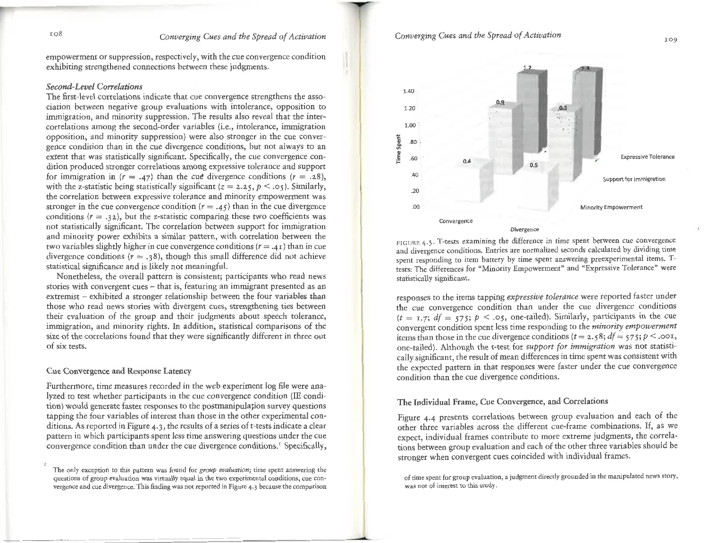empowerment or suppression, respectively, with the cue convergence condition exhibiting strengthened connections between these judgments.

### *Second-Level Correlations*

The first-level correlations indicate that cue convergence strengthens the association between negative group evaluations with intolerance, opposition to immigration, and minority suppression. The results also reveal that the intercorrelations among the second-order variables (i.e., intolerance, immigration opposition, and minority suppression) were also stronger in the cue convergence condition than in the cue divergence conditions, but not always to an extent that was statistically significant. Specifically, the cue convergence condition produced stronger correlations among expressive tolerance and support for immigration in  $(r = .47)$  than the cue divergence conditions  $(r = .28)$ , with the z-statistic being statistically significant  $(z = 2.25, p \leq .05)$ . Similarly, the correlation between expressive tolerance and minority empowerment was stronger in the cue convergence condition ( $r = .45$ ) than in the cue divergence conditions  $(r = .32)$ , but the z-statistic comparing these two coefficients was not statistically significant. The correlation between support for immigration and minority power exhibits a similar pattern, with correlation between the two variables slightly higher in cue convergence conditions  $(r = .41)$  than in cue divergence conditions ( $r = .38$ ), though this small difference did not achieve statistical significance and is likely not meaningful.

Nonetheless, the overall pattern is consistent; participants who read news stories with convergent cues - that is, featuring an immigrant presented as an extremist - exhibited a stronger relationship between the four variables than those who read news stories with divergent cues, strengthening ties between their evaluation of the group and their judgments about speech tolerance, immigration, and minority rights. In addition, statistical comparisons of the size of the correlations found that they were significantly different in three out of six tests.

### Cue Convergence and Response Latency

Furthermore, time measures recorded in the web experiment log file were analyzed to test whether participants in the cue convergence condition (IE condition) would generate faster responses to the postmanipulajion survey questions tapping the four variables of interest than those in the other experimental conditions. As reported in Figure 4.3, the results of a series of t-tests indicate a clear pattern in which participants spent less time answering questions under the cue convergence condition than under the cue divergence conditions.' Specifically,





FIGURE 4.3. T-tests examining the difference in time spent between cue convergence and divergence conditions. Entries are normalized seconds calculated by dividing time spent responding to item battery by time spent answering preexperimental items. Ttests: The differences for "Minority Empowerment" and "Expressive Tolerance" were statistically significant.

responses to the items tapping *expressive tolerance* were reported faster under the cue convergence condition than under the cue divergence conditions  $(t = 1.7; df = 575; p < .05$ , one-tailed). Similarly, participants in the cue convergent condition spent less time responding to the *minority empowerment*  items than those in the cue divergence conditions ( $t = 2.58$ ;  $df = 575$ ;  $p <$  .001, one-tailed). Although the t-test for *support for immigration* was not statistically significant, the result of mean differences in time spent was consistent with the expected pattern in that responses were faster under the cue convergence condition than the cue divergence conditions.

### The Individual Frame, Cue Convergence, and Correlations

Figure 4.4 presents correlations between group evaluation and each of the other three variables across the different cue-frame combinations. If, as we expect, individual frames contribute to more extreme judgments, the correlations between group evaluation and each of the other three variables should be stronger when convergent cues coincided with individual frames.

of time spent for group evaluation, a judgment directly grounded in the manipulated news story, was not of interest to this study.

r The only exception to this pattern was found for *group evaluation;* time spent answering the questions of group evaluation was virtually equal in the two experimental conditions, cue convergence and cue divergence. This finding was not reported in Figure 4. 3 because the comparison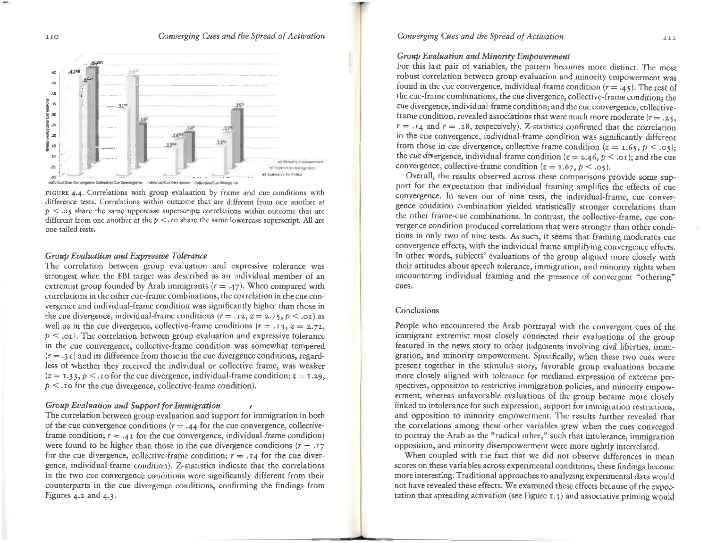

FIGURE 4.4. Correlations with group evaluation by frame and cue conditions with difference tests. Correlations within outcome that are different from one another at  $p \lt o_5$  share the same uppercase superscript; correlations within outcome that are different from one another at the  $p <$  . Io share the same lowercase superscript. All are one-tailed tests.

### *Group Evaluation and Expressive Tolerance*

The correlation between group evaluation and expressive tolerance was strongest when the FBI target was described as an individual member of an extremist group founded by Arab immigrants  $(r = .47)$ . When compared with correlations in the other cue-frame combinations, the correlation in the cue convergence and individual-frame condition was significantly higher than those in the cue divergence, individual-frame conditions ( $r = .12$ ,  $z = 2.75$ ,  $p < .01$ ) as well as in the cue divergence, collective-frame conditions  $(r = .13, z = 2.72, ...)$  $p <$  .or). The correlation between group evaluation and expressive tolerance in the cue convergence, collective-frame condition was somewhat tempered  $(r = .31)$  and its difference from those in the cue divergence conditions, regardless of whether they received the individual or collective frame, was weaker  $(z = 1.33, p < .10$  for the cue divergence, individual-frame condition;  $z = 1.29$ ,  $p <$ . To for the cue divergence, collective-frame condition).

### *Group Evaluation and Support for Immigration .1*

The correlation between group evaluation and support for immigration in both of the cue convergence conditions  $(r = .44$  for the cue convergence, collectiveframe condition;  $r = .41$  for the cue convergence, individual-frame condition) were found to be higher than those in the cue divergence conditions  $(r = .17)$ for the cue divergence, collective-frame condition;  $r = .14$  for the cue divergence, individual-frame condition). Z-statistics indicate that the correlations in the two cue convergence conditions were significantly different from their counterparts in the cue divergence conditions, confirming the findings from Figures 4.2 and 4.3.

## *Converging Cues and the Spread of Activation* III

### *Group Evaluation and Minority Empowerment*

For this last pair of variables, the pattern becomes more distinct. The most robust correlation between group evaluation and minority empowerment was found in the cue convergence, individual-frame condition  $(r = .45)$ . The rest of the cue-frame combinations, the cue divergence, collective-frame condition; the cue divergence, individual-frame condition; and the cue convergence, collectiveframe condition, revealed associations that were much more moderate  $(r = .25, )$  $r = .14$  and  $r = .18$ , respectively). Z-statistics confirmed that the correlation in the cue convergence, individual-frame condition was significantly different from those in cue divergence, collective-frame condition  $(z = 1.65, p < .05)$ ; the cue divergence, individual-frame condition  $(z = 2.46, p < .0$ ; and the cue convergence, collective-frame condition  $(z = 1.67, p < .05)$ .

Overall, the results observed across these comparisons provide some support for the expectation that individual framing amplifies the effects of cue convergence. In seven out of nine tests, the individual-frame, cue convergence condition combination yielded statistically stronger correlations than the other frame-cue combinations. In contrast, the collective-frame, cue convergence condition produced correlations that were stronger than other conditions in only two of nine tests. As such, it seems that framing moderates cue convergence effects, with the individual frame amplifying convergence effects. In other words, subjects' evaluations of the group aligned more closely with their attitudes about speech tolerance, immigration, and minority rights when encountering individual framing and the presence of convergent "othering" cues.

### **Conclusions**

People who encountered the Arab portrayal with the convergent cues of the immigrant extremist most closely connected their evaluations of the group featured in the news story to other judgments involving civil liberties, immigration, and minority empowerment. Specifically, when these two cues were present together in the stimulus story, favorable group evaluations became more closely aligned with tolerance for mediated expression of extreme perspectives, opposition to restrictive immigration policies, and minority empowerment, whereas unfavorable evaluations of the group became more closely linked to intolerance for such expression, support for immigration restrictions, and opposition to minority empowerment. The results further revealed that the correlations among these other variables grew when the cues converged to portray the Arab as the "radical other," such that intolerance, immigration opposition, and minority disempowerment were more tightly interrelated.

When coupled with the fact that we did not observe differences in mean scores on these variables across experimental conditions, these findings become more interesting. Traditional approaches to analyzing experimental data would not have revealed these effects. We examined these effects because of the expectation that spreading activation (see Figure 1.3) and associative priming would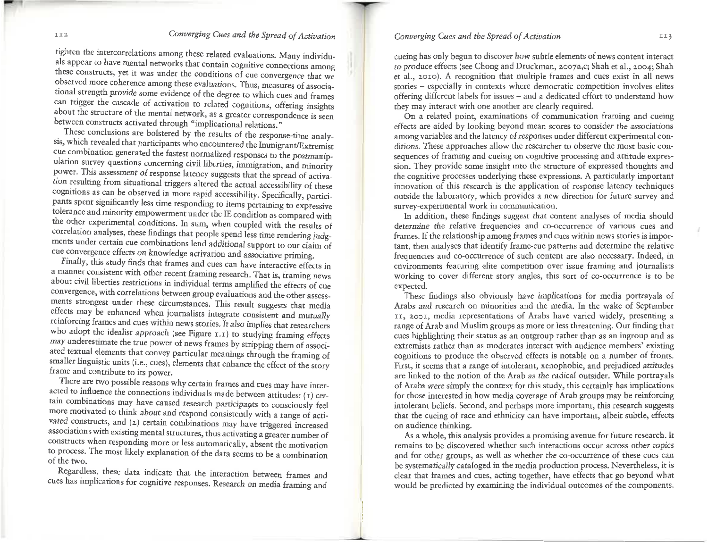#### *Converging Cues and the Spread of Activation*

•

tighten the intercorrelations among these related evaluations. Many individuals appear to have mental networks that contain cognitive connections among these constructs, yet it was under the conditions of cue convergence that we observed more coherence among these evaluations. Thus, measures of associational strength provide some evidence of the degree to which cues and frames can trigger the cascade of activation to related cognitions, offering insights about the structure of the mental network, as a greater correspondence is seen between constructs activated through "implicational relations."

These conclusions are bolstered by the results of the response-time analysis, which revealed that participants who encountered the Immigrant/Extremist cue combination generated the fastest normalized responses to the postmanipulation survey questions concerning civil liberties, immigration, and minority power. This assessment of response latency suggests that the spread of activation resulting from situational triggers altered the actual accessibility of these cognitions as can be observed in more rapid accessibility. Specifically, participants spent significantly less time responding to items pertaining to expressive tolerance and minority empowerment under the IE condition as compared with the other experimental conditions. In sum, when coupled with the results of correlation analyses, these findings that people spend less time rendering judgments under certain cue combinations lend additional support to our claim of cue convergence effects on knowledge activation and associative priming.

Finally, this study finds that frames and cues can have interactive effects in a manner consistent with other recent framing research. That is, framing news about civil liberties restrictions in individual terms amplified the effects of cue convergence, with correlations between group evaluations and the other assessments strongest under these circumstances. This result suggests that media effects may be enhanced when journalists integrate consistent and mutually reinforcing frames and cues within news stories. It also implies that researchers who adopt the idealist approach (see Figure 1.1) to studying framing effects may underestimate the true power of news frames by stripping them of associated textual elements that convey particular meanings through the framing of smaller linguistic units (i.e., cues), elements that enhance the effect of the story frame and contribute to its power.

There are two possible reasons why certain frames and cues may have interacted to influence the connections individuals made between attitudes:  $(r)$  certain combinations may have caused research participants to consciously feel more motivated to think about and respond consistently with a range of activated constructs, and (2) certain combinations may have triggered increased associations with existing mental structures, thus activating a greater number of constructs when responding more or less automatically, absent the motivation to process. The most likely explanation of the data seems to be a combination of the two.

Regardless, these data indicate that the interaction between frames and cues has implications for cognitive responses. Research on media framing and

cueing has only begun to discover how subtle elements of news content interact to produce effects (see Chong and Druckman, 2007a,c; Shah et al., 2004; Shah et al., 2010). A recognition that multiple frames and cues exist in all news stories - especially in contexts where democratic competition involves elites offering different labels for issues - and a dedicated effort to understand how they may interact with one another are dearly required.

On a related point, examinations of communication framing and cueing effects are aided by looking beyond mean scores to consider the associations among variables and the latency of responses under different experimental conditions. These approaches allow the researcher to observe the most basic consequences of framing and cueing on cognitive processing and attitude expression. They provide some insight into the structure of expressed thoughts and the cognitive processes underlying these expressions. A particularly important innovation of this research is the application of response latency techniques outside the laboratory, which provides a new direction for future survey and survey-experimental work in communication.

In addition, these findings suggest that content analyses of media should determine the relative frequencies and co-occurrence of various cues and frames. If the relationship among frames and cues within news stories is important, then analyses that identify frame-cue patterns and determine the relative frequencies and co-occurrence of such content are also necessary. Indeed, in environments featuring elite competition over issue framing and journalists working to cover different story angles, this sort of co-occurrence is to be expected.

These findings also obviously have implications for media portrayals of Arabs and research on minorities and the media. In the wake of September II, 2001, media representations of Arabs have varied widely, presenting a range of Arab and Muslim groups as more or less threatening. Our finding that cues highlighting their status as an outgroup rather than as an ingroup and as extremists rather than as moderates interact with audience members' existing cognitions to produce the observed effects is notable on a number of fronts. First, it seems that a range of intolerant, xenophobic, and prejudiced attitudes are linked to the notion of the Arab as the radical outsider. While portrayals of Arabs were simply the context for this study, this certainly has implications for those interested in how media coverage of Arab groups may be reinforcing intolerant beliefs. Second, and perhaps more important, this research suggests that the cueing of race and ethnicity can have important, albeit subtle, effects on audience thinking.

As a whole, this analysis provides a promising avenue for future research. It remains to be discovered whether such interactions occur across other topics and for other groups, as well as whether the co-occurrence of these cues can be systematically cataloged in the media production process. Nevertheless, it is clear that frames and cues, acting together, have effects that go beyond what would be predicted by examining the individual outcomes of the components.